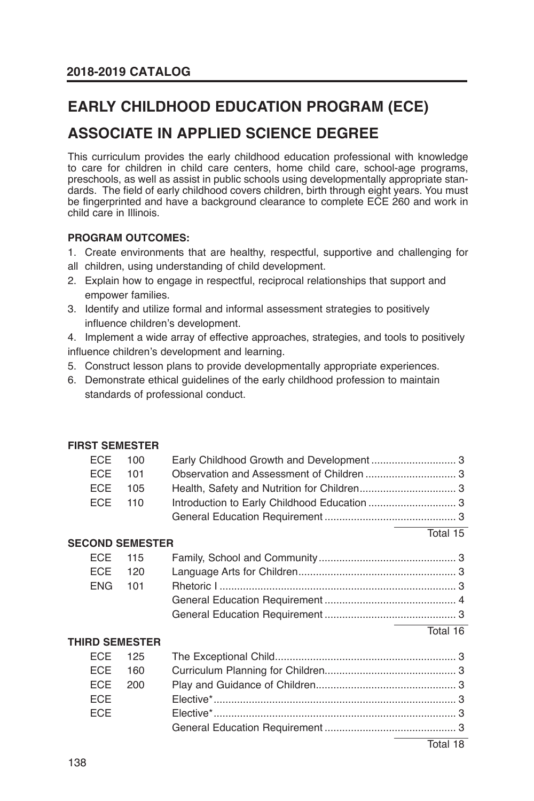# **EARLY CHILDHOOD EDUCATION PROGRAM (ECE)**

## **ASSOCIATE IN APPLIED SCIENCE DEGREE**

This curriculum provides the early childhood education professional with knowledge to care for children in child care centers, home child care, school-age programs, preschools, as well as assist in public schools using developmentally appropriate standards. The field of early childhood covers children, birth through eight years. You must be fingerprinted and have a background clearance to complete ECE 260 and work in child care in Illinois.

#### **PROGRAM OUTCOMES:**

- 1. Create environments that are healthy, respectful, supportive and challenging for
- all children, using understanding of child development.
- 2. Explain how to engage in respectful, reciprocal relationships that support and empower families.
- 3. Identify and utilize formal and informal assessment strategies to positively influence children's development.
- 4. Implement a wide array of effective approaches, strategies, and tools to positively influence children's development and learning.
- 5. Construct lesson plans to provide developmentally appropriate experiences.
- 6. Demonstrate ethical guidelines of the early childhood profession to maintain standards of professional conduct.

#### **FIRST SEMESTER**

| ECE 100 |  |  |
|---------|--|--|
| ECE 101 |  |  |
| ECE 105 |  |  |
| ECE 110 |  |  |
|         |  |  |

Total 15 **SECOND SEMESTER** ECE 115 Family, School and Community ............................................... 3 ECE 120 Language Arts for Children ...................................................... 3 ENG 101 Rhetoric I ................................................................................. 3 General Education Requirement ............................................. 4 General Education Requirement ............................................. 3

#### Total 16

#### **THIRD SEMESTER**

|            | ECE 160 |  |
|------------|---------|--|
|            | ECE 200 |  |
| <b>ECE</b> |         |  |
| <b>FCF</b> |         |  |
|            |         |  |